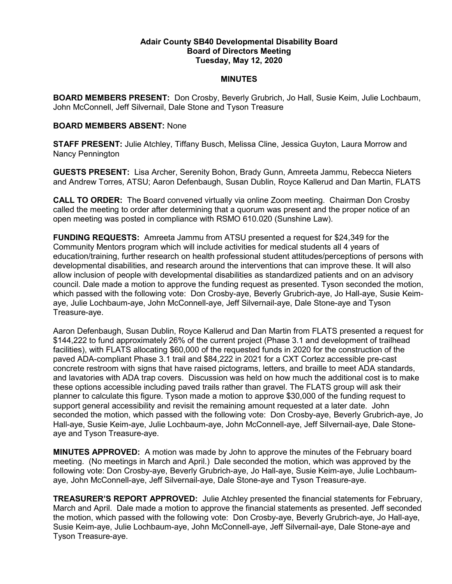## Adair County SB40 Developmental Disability Board Board of Directors Meeting Tuesday, May 12, 2020

## **MINUTES**

BOARD MEMBERS PRESENT: Don Crosby, Beverly Grubrich, Jo Hall, Susie Keim, Julie Lochbaum, John McConnell, Jeff Silvernail, Dale Stone and Tyson Treasure

## BOARD MEMBERS ABSENT: None

STAFF PRESENT: Julie Atchley, Tiffany Busch, Melissa Cline, Jessica Guyton, Laura Morrow and Nancy Pennington

GUESTS PRESENT: Lisa Archer, Serenity Bohon, Brady Gunn, Amreeta Jammu, Rebecca Nieters and Andrew Torres, ATSU; Aaron Defenbaugh, Susan Dublin, Royce Kallerud and Dan Martin, FLATS

CALL TO ORDER: The Board convened virtually via online Zoom meeting. Chairman Don Crosby called the meeting to order after determining that a quorum was present and the proper notice of an open meeting was posted in compliance with RSMO 610.020 (Sunshine Law).

FUNDING REQUESTS: Amreeta Jammu from ATSU presented a request for \$24,349 for the Community Mentors program which will include activities for medical students all 4 years of education/training, further research on health professional student attitudes/perceptions of persons with developmental disabilities, and research around the interventions that can improve these. It will also allow inclusion of people with developmental disabilities as standardized patients and on an advisory council. Dale made a motion to approve the funding request as presented. Tyson seconded the motion, which passed with the following vote: Don Crosby-aye, Beverly Grubrich-aye, Jo Hall-aye, Susie Keimaye, Julie Lochbaum-aye, John McConnell-aye, Jeff Silvernail-aye, Dale Stone-aye and Tyson Treasure-aye.

Aaron Defenbaugh, Susan Dublin, Royce Kallerud and Dan Martin from FLATS presented a request for \$144,222 to fund approximately 26% of the current project (Phase 3.1 and development of trailhead facilities), with FLATS allocating \$60,000 of the requested funds in 2020 for the construction of the paved ADA-compliant Phase 3.1 trail and \$84,222 in 2021 for a CXT Cortez accessible pre-cast concrete restroom with signs that have raised pictograms, letters, and braille to meet ADA standards, and lavatories with ADA trap covers. Discussion was held on how much the additional cost is to make these options accessible including paved trails rather than gravel. The FLATS group will ask their planner to calculate this figure. Tyson made a motion to approve \$30,000 of the funding request to support general accessibility and revisit the remaining amount requested at a later date. John seconded the motion, which passed with the following vote: Don Crosby-aye, Beverly Grubrich-aye, Jo Hall-aye, Susie Keim-aye, Julie Lochbaum-aye, John McConnell-aye, Jeff Silvernail-aye, Dale Stoneaye and Tyson Treasure-aye.

MINUTES APPROVED: A motion was made by John to approve the minutes of the February board meeting. (No meetings in March and April.) Dale seconded the motion, which was approved by the following vote: Don Crosby-aye, Beverly Grubrich-aye, Jo Hall-aye, Susie Keim-aye, Julie Lochbaumaye, John McConnell-aye, Jeff Silvernail-aye, Dale Stone-aye and Tyson Treasure-aye.

TREASURER'S REPORT APPROVED: Julie Atchley presented the financial statements for February, March and April. Dale made a motion to approve the financial statements as presented. Jeff seconded the motion, which passed with the following vote: Don Crosby-aye, Beverly Grubrich-aye, Jo Hall-aye, Susie Keim-aye, Julie Lochbaum-aye, John McConnell-aye, Jeff Silvernail-aye, Dale Stone-aye and Tyson Treasure-aye.